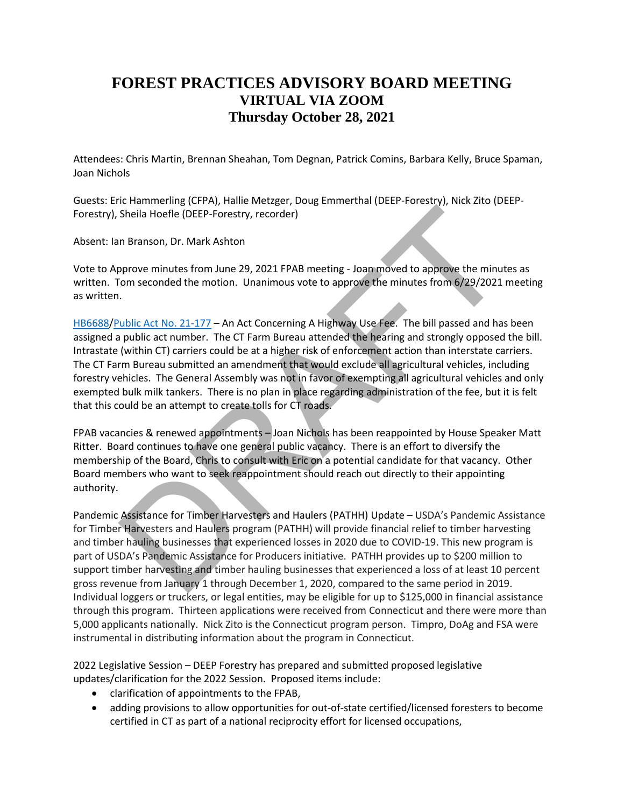## **FOREST PRACTICES ADVISORY BOARD MEETING VIRTUAL VIA ZOOM Thursday October 28, 2021**

Attendees: Chris Martin, Brennan Sheahan, Tom Degnan, Patrick Comins, Barbara Kelly, Bruce Spaman, Joan Nichols

Guests: Eric Hammerling (CFPA), Hallie Metzger, Doug Emmerthal (DEEP-Forestry), Nick Zito (DEEP-Forestry), Sheila Hoefle (DEEP-Forestry, recorder)

Absent: Ian Branson, Dr. Mark Ashton

Vote to Approve minutes from June 29, 2021 FPAB meeting - Joan moved to approve the minutes as written. Tom seconded the motion. Unanimous vote to approve the minutes from 6/29/2021 meeting as written.

[HB6688/](https://www.cga.ct.gov/asp/cgabillstatus/cgabillstatus.asp?selBillType=Bill&which_year=2021&bill_num=6688)Public Act No. 21-177 – An Act Concerning A Highway Use Fee. The bill passed and has been assigned a public act number. The CT Farm Bureau attended the hearing and strongly opposed the bill. Intrastate (within CT) carriers could be at a higher risk of enforcement action than interstate carriers. The CT Farm Bureau submitted an amendment that would exclude all agricultural vehicles, including forestry vehicles. The General Assembly was not in favor of exempting all agricultural vehicles and only exempted bulk milk tankers. There is no plan in place regarding administration of the fee, but it is felt that this could be an attempt to create tolls for CT roads. Sheila Hoefle (DEEP-Forestry, recorder)<br>
In Branson, Dr. Mark Ashton<br>
pprove minutes from June 29, 2021 FPAB meeting - Joan moved to approve the minut<br>
from seconded the motion. Unanimous vote to approve the minutes from 5

FPAB vacancies & renewed appointments – Joan Nichols has been reappointed by House Speaker Matt Ritter. Board continues to have one general public vacancy. There is an effort to diversify the membership of the Board, Chris to consult with Eric on a potential candidate for that vacancy. Other Board members who want to seek reappointment should reach out directly to their appointing authority.

Pandemic Assistance for Timber Harvesters and Haulers (PATHH) Update – USDA's Pandemic Assistance for Timber Harvesters and Haulers program (PATHH) will provide financial relief to timber harvesting and timber hauling businesses that experienced losses in 2020 due to COVID-19. This new program is part of USDA's Pandemic Assistance for Producers initiative. PATHH provides up to \$200 million to support timber harvesting and timber hauling businesses that experienced a loss of at least 10 percent gross revenue from January 1 through December 1, 2020, compared to the same period in 2019. Individual loggers or truckers, or legal entities, may be eligible for up to \$125,000 in financial assistance through this program. Thirteen applications were received from Connecticut and there were more than 5,000 applicants nationally. Nick Zito is the Connecticut program person. Timpro, DoAg and FSA were instrumental in distributing information about the program in Connecticut.

2022 Legislative Session – DEEP Forestry has prepared and submitted proposed legislative updates/clarification for the 2022 Session. Proposed items include:

- clarification of appointments to the FPAB,
- adding provisions to allow opportunities for out-of-state certified/licensed foresters to become certified in CT as part of a national reciprocity effort for licensed occupations,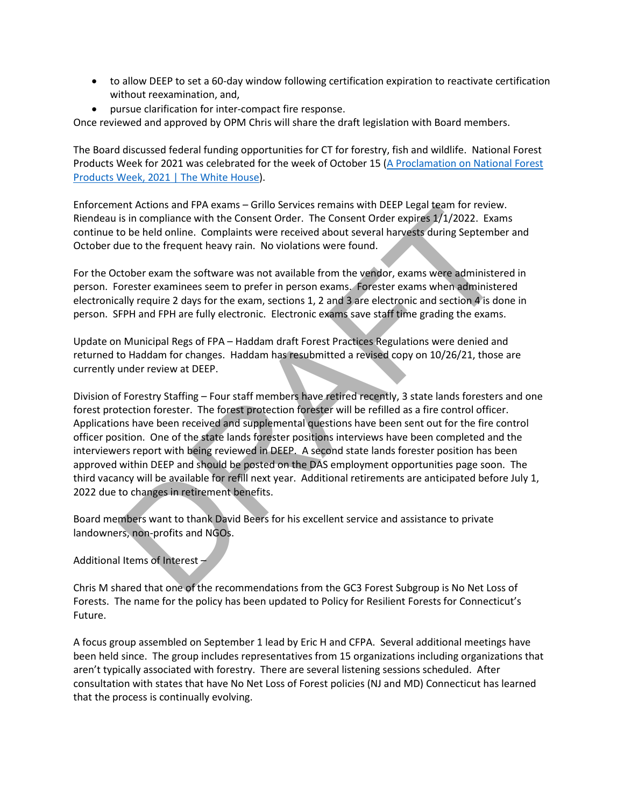- to allow DEEP to set a 60-day window following certification expiration to reactivate certification without reexamination, and,
- pursue clarification for inter-compact fire response.

Once reviewed and approved by OPM Chris will share the draft legislation with Board members.

The Board discussed federal funding opportunities for CT for forestry, fish and wildlife. National Forest Products Week for 2021 was celebrated for the week of October 15 [\(A Proclamation on National Forest](https://www.whitehouse.gov/briefing-room/presidential-actions/2021/10/15/a-proclamation-on-national-forest-products-week-2021/)  [Products Week, 2021 | The White House\)](https://www.whitehouse.gov/briefing-room/presidential-actions/2021/10/15/a-proclamation-on-national-forest-products-week-2021/).

Enforcement Actions and FPA exams – Grillo Services remains with DEEP Legal team for review. Riendeau is in compliance with the Consent Order. The Consent Order expires 1/1/2022. Exams continue to be held online. Complaints were received about several harvests during September and October due to the frequent heavy rain. No violations were found.

For the October exam the software was not available from the vendor, exams were administered in person. Forester examinees seem to prefer in person exams. Forester exams when administered electronically require 2 days for the exam, sections 1, 2 and 3 are electronic and section 4 is done in person. SFPH and FPH are fully electronic. Electronic exams save staff time grading the exams.

Update on Municipal Regs of FPA – Haddam draft Forest Practices Regulations were denied and returned to Haddam for changes. Haddam has resubmitted a revised copy on 10/26/21, those are currently under review at DEEP.

Division of Forestry Staffing – Four staff members have retired recently, 3 state lands foresters and one forest protection forester. The forest protection forester will be refilled as a fire control officer. Applications have been received and supplemental questions have been sent out for the fire control officer position. One of the state lands forester positions interviews have been completed and the interviewers report with being reviewed in DEEP. A second state lands forester position has been approved within DEEP and should be posted on the DAS employment opportunities page soon. The third vacancy will be available for refill next year. Additional retirements are anticipated before July 1, 2022 due to changes in retirement benefits. Ent Actualism and PTA examins – sinino services relinians with Decret Cegal ecant in Consent Core in the Consent Order expires 17/2022. Example in complaints were received about several harvests during September to be held

Board members want to thank David Beers for his excellent service and assistance to private landowners, non-profits and NGOs.

Additional Items of Interest –

Chris M shared that one of the recommendations from the GC3 Forest Subgroup is No Net Loss of Forests. The name for the policy has been updated to Policy for Resilient Forests for Connecticut's Future.

A focus group assembled on September 1 lead by Eric H and CFPA. Several additional meetings have been held since. The group includes representatives from 15 organizations including organizations that aren't typically associated with forestry. There are several listening sessions scheduled. After consultation with states that have No Net Loss of Forest policies (NJ and MD) Connecticut has learned that the process is continually evolving.